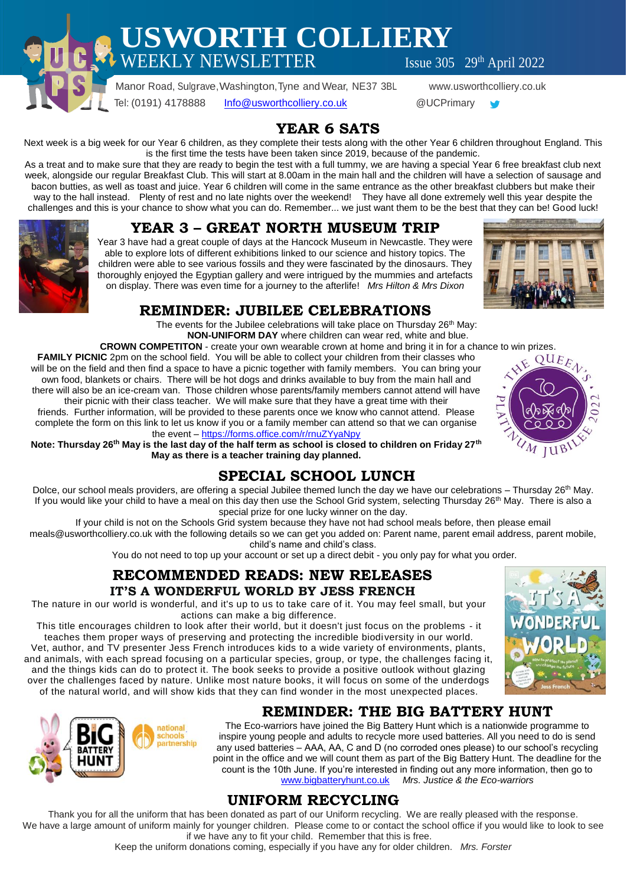**USWORTH COLLIERY**

 $\text{WEEKLY NEWSLETTER}$  Issue 305 29th April 2022

 Manor Road, Sulgrave,Washington,Tyne and Wear, NE37 3BL www.usworthcolliery.co.uk Tel: (0191) 4178888 [Info@usworthcolliery.co.uk](mailto:Info@usworthcolliery.co.uk) @UCPrimary

## **YEAR 6 SATS**

Next week is a big week for our Year 6 children, as they complete their tests along with the other Year 6 children throughout England. This is the first time the tests have been taken since 2019, because of the pandemic.

As a treat and to make sure that they are ready to begin the test with a full tummy, we are having a special Year 6 free breakfast club next week, alongside our regular Breakfast Club. This will start at 8.00am in the main hall and the children will have a selection of sausage and bacon butties, as well as toast and juice. Year 6 children will come in the same entrance as the other breakfast clubbers but make their way to the hall instead. Plenty of rest and no late nights over the weekend! They have all done extremely well this year despite the challenges and this is your chance to show what you can do. Remember... we just want them to be the best that they can be! Good luck!

## **YEAR 3 – GREAT NORTH MUSEUM TRIP**

Year 3 have had a great couple of days at the Hancock Museum in Newcastle. They were able to explore lots of different exhibitions linked to our science and history topics. The children were able to see various fossils and they were fascinated by the dinosaurs. They thoroughly enjoyed the Egyptian gallery and were intrigued by the mummies and artefacts on display. There was even time for a journey to the afterlife! *Mrs Hilton & Mrs Dixon*



### **REMINDER: JUBILEE CELEBRATIONS**

The events for the Jubilee celebrations will take place on Thursday 26<sup>th</sup> May: **NON-UNIFORM DAY** where children can wear red, white and blue.

**CROWN COMPETITON** - create your own wearable crown at home and bring it in for a chance to win prizes.<br> **C** 2pm on the school field. You will be able to collect your children from their classes who **FAMILY PICNIC** 2pm on the school field. You will be able to collect your children from their classes who will be on the field and then find a space to have a picnic together with family members. You can bring your own food, blankets or chairs. There will be hot dogs and drinks available to buy from the main hall and there will also be an ice-cream van. Those children whose parents/family members cannot attend will have their picnic with their class teacher. We will make sure that they have a great time with their

friends. Further information, will be provided to these parents once we know who cannot attend. Please complete the form on this link to let us know if you or a family member can attend so that we can organise the event – <https://forms.office.com/r/rnuZYyaNpy>

**Note: Thursday 26th May is the last day of the half term as school is closed to children on Friday 27th May as there is a teacher training day planned.**

## **SPECIAL SCHOOL LUNCH**

Dolce, our school meals providers, are offering a special Jubilee themed lunch the day we have our celebrations – Thursday 26<sup>th</sup> May. If you would like your child to have a meal on this day then use the School Grid system, selecting Thursday 26<sup>th</sup> May. There is also a special prize for one lucky winner on the day.

If your child is not on the Schools Grid system because they have not had school meals before, then please email

meals@usworthcolliery.co.uk with the following details so we can get you added on: Parent name, parent email address, parent mobile, child's name and child's class.

You do not need to top up your account or set up a direct debit - you only pay for what you order.

# **RECOMMENDED READS: NEW RELEASES**

**IT'S A WONDERFUL WORLD BY JESS FRENCH**

The nature in our world is wonderful, and it's up to us to take care of it. You may feel small, but your actions can make a big difference.

This title encourages children to look after their world, but it doesn't just focus on the problems - it teaches them proper ways of preserving and protecting the incredible biodiversity in our world. Vet, author, and TV presenter Jess French introduces kids to a wide variety of environments, plants, and animals, with each spread focusing on a particular species, group, or type, the challenges facing it, and the things kids can do to protect it. The book seeks to provide a positive outlook without glazing over the challenges faced by nature. Unlike most nature books, it will focus on some of the underdogs of the natural world, and will show kids that they can find wonder in the most unexpected places.



 $IUB$ 



## **REMINDER: THE BIG BATTERY HUNT**

The Eco-warriors have joined the Big Battery Hunt which is a nationwide programme to inspire young people and adults to recycle more used batteries. All you need to do is send any used batteries – AAA, AA, C and D (no corroded ones please) to our school's recycling point in the office and we will count them as part of the Big Battery Hunt. The deadline for the count is the 10th June. If you're interested in finding out any more information, then go to [www.bigbatteryhunt.co.uk](http://www.bigbatteryhunt.co.uk/) *Mrs. Justice & the Eco-warriors*

## **UNIFORM RECYCLING**

Thank you for all the uniform that has been donated as part of our Uniform recycling. We are really pleased with the response. We have a large amount of uniform mainly for younger children. Please come to or contact the school office if you would like to look to see if we have any to fit your child. Remember that this is free.

Keep the uniform donations coming, especially if you have any for older children. *Mrs. Forster*

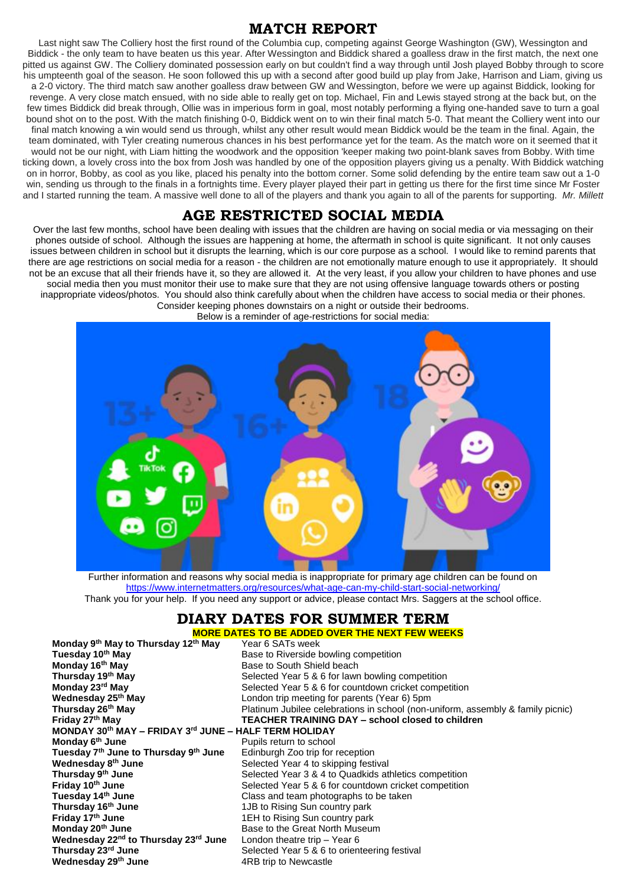#### **MATCH REPORT**

Last night saw The Colliery host the first round of the Columbia cup, competing against George Washington (GW), Wessington and Biddick - the only team to have beaten us this year. After Wessington and Biddick shared a goalless draw in the first match, the next one pitted us against GW. The Colliery dominated possession early on but couldn't find a way through until Josh played Bobby through to score his umpteenth goal of the season. He soon followed this up with a second after good build up play from Jake, Harrison and Liam, giving us a 2-0 victory. The third match saw another goalless draw between GW and Wessington, before we were up against Biddick, looking for revenge. A very close match ensued, with no side able to really get on top. Michael, Fin and Lewis stayed strong at the back but, on the few times Biddick did break through, Ollie was in imperious form in goal, most notably performing a flying one-handed save to turn a goal bound shot on to the post. With the match finishing 0-0, Biddick went on to win their final match 5-0. That meant the Colliery went into our final match knowing a win would send us through, whilst any other result would mean Biddick would be the team in the final. Again, the team dominated, with Tyler creating numerous chances in his best performance yet for the team. As the match wore on it seemed that it would not be our night, with Liam hitting the woodwork and the opposition 'keeper making two point-blank saves from Bobby. With time ticking down, a lovely cross into the box from Josh was handled by one of the opposition players giving us a penalty. With Biddick watching on in horror, Bobby, as cool as you like, placed his penalty into the bottom corner. Some solid defending by the entire team saw out a 1-0 win, sending us through to the finals in a fortnights time. Every player played their part in getting us there for the first time since Mr Foster and I started running the team. A massive well done to all of the players and thank you again to all of the parents for supporting. *Mr. Millett*

#### **AGE RESTRICTED SOCIAL MEDIA**

Over the last few months, school have been dealing with issues that the children are having on social media or via messaging on their phones outside of school. Although the issues are happening at home, the aftermath in school is quite significant. It not only causes issues between children in school but it disrupts the learning, which is our core purpose as a school. I would like to remind parents that there are age restrictions on social media for a reason - the children are not emotionally mature enough to use it appropriately. It should not be an excuse that all their friends have it, so they are allowed it. At the very least, if you allow your children to have phones and use social media then you must monitor their use to make sure that they are not using offensive language towards others or posting inappropriate videos/photos. You should also think carefully about when the children have access to social media or their phones. Consider keeping phones downstairs on a night or outside their bedrooms.

Below is a reminder of age-restrictions for social media:



Further information and reasons why social media is inappropriate for primary age children can be found on <https://www.internetmatters.org/resources/what-age-can-my-child-start-social-networking/> Thank you for your help. If you need any support or advice, please contact Mrs. Saggers at the school office.

# **DIARY DATES FOR SUMMER TERM**

**MORE DATES TO BE ADDED OVER THE NEXT FEW WEEKS Monday 9<sup>th</sup> May to Thursday 12<sup>th</sup> May**<br>Tuesday 10<sup>th</sup> May **Tuesday 10<sup>th</sup> May** Base to Riverside bowling competition<br> **Monday 16<sup>th</sup> May** Base to South Shield beach **Monday 16<sup>th</sup> May Base to South Shield beach**<br> **Thursday 19<sup>th</sup> May** Belected Year 5 & 6 for lawr **Thursday 19<sup>th</sup> May** Selected Year 5 & 6 for lawn bowling competition<br> **Monday 23<sup>rd</sup> May** Selected Year 5 & 6 for countdown cricket compe **Monday 23<sup>rd</sup> May** Selected Year 5 & 6 for countdown cricket competition<br> **Wednesday 25<sup>th</sup> May** Selected Year 6) Spm **Wednesday 25<sup>th</sup> May** London trip meeting for parents (Year 6) 5pm<br>**Thursday 26<sup>th</sup> May London Thursday 26<sup>th</sup> May** Platinum Jubilee celebrations in school (non-u **Thursday 26<sup>th</sup> May Platinum Jubilee celebrations in school (non-uniform, assembly & family picnic)**<br> **Friday 27<sup>th</sup> May Property CEACHER TRAINING DAY – school closed to children Friday 27th May TEACHER TRAINING DAY – school closed to children MONDAY 30th MAY – FRIDAY 3 rd JUNE – HALF TERM HOLIDAY Monday 6 Pupils return to school Tuesday 7th June to Thursday 9th June** Edinburgh Zoo trip for reception **Wednesday 8<sup>th</sup> June** Selected Year 4 to skipping festival **Thursday 9<sup>th</sup> June** Selected Year 3 & 4 to Quadkids athletics competition **Friday 10th June** Selected Year 5 & 6 for countdown cricket competition **Tuesday 14th June** Class and team photographs to be taken 1JB to Rising Sun country park **Friday 17<sup>th</sup> June** 1EH to Rising Sun country park **Monday 20<sup>th</sup> June**<br>**Wednesday 22<sup>nd</sup> to Thursday 23<sup>rd</sup> June** London theatre trip – Year 6 Wednesday 22<sup>nd</sup> to Thursday 23<sup>rd</sup> June<br>Thursday 23<sup>rd</sup> June Selected Year 5 & 6 to orienteering festival **Wednesday 29<sup>th</sup> June** 4RB trip to Newcastle